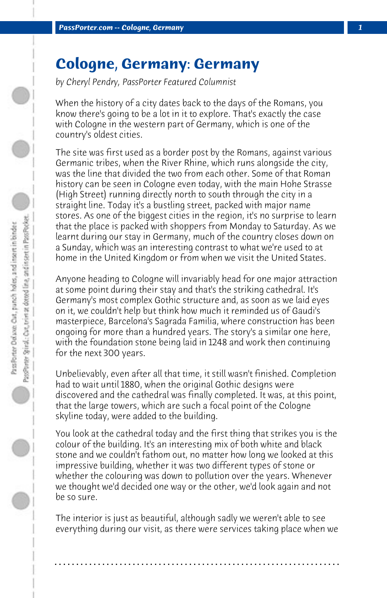## **Cologne, Germany: Germany**

*by Cheryl Pendry, PassPorter Featured Columnist*

When the history of a city dates back to the days of the Romans, you know there's going to be a lot in it to explore. That's exactly the case with Cologne in the western part of Germany, which is one of the country's oldest cities.

The site was first used as a border post by the Romans, against various Germanic tribes, when the River Rhine, which runs alongside the city, was the line that divided the two from each other. Some of that Roman history can be seen in Cologne even today, with the main Hohe Strasse (High Street) running directly north to south through the city in a straight line. Today it's a bustling street, packed with major name stores. As one of the biggest cities in the region, it's no surprise to learn that the place is packed with shoppers from Monday to Saturday. As we learnt during our stay in Germany, much of the country closes down on a Sunday, which was an interesting contrast to what we're used to at home in the United Kingdom or from when we visit the United States.

Anyone heading to Cologne will invariably head for one major attraction at some point during their stay and that's the striking cathedral. It's Germany's most complex Gothic structure and, as soon as we laid eyes on it, we couldn't help but think how much it reminded us of Gaudi's masterpiece, Barcelona's Sagrada Familia, where construction has been ongoing for more than a hundred years. The story's a similar one here, with the foundation stone being laid in 1248 and work then continuing for the next 300 years.

Unbelievably, even after all that time, it still wasn't finished. Completion had to wait until 1880, when the original Gothic designs were discovered and the cathedral was finally completed. It was, at this point, that the large towers, which are such a focal point of the Cologne skyline today, were added to the building.

You look at the cathedral today and the first thing that strikes you is the colour of the building. It's an interesting mix of both white and black stone and we couldn't fathom out, no matter how long we looked at this impressive building, whether it was two different types of stone or whether the colouring was down to pollution over the years. Whenever we thought we'd decided one way or the other, we'd look again and not be so sure.

The interior is just as beautiful, although sadly we weren't able to see everything during our visit, as there were services taking place when we

**. . . . . . . . . . . . . . . . . . . . . . . . . . . . . . . . . . . . . . . . . . . . . . . . . . . . . . . . . . . . . . . . . .**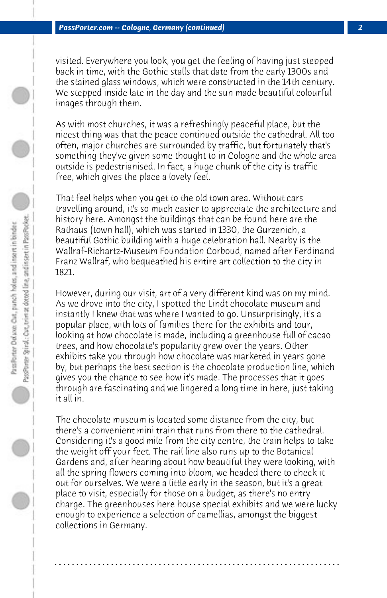visited. Everywhere you look, you get the feeling of having just stepped back in time, with the Gothic stalls that date from the early 1300s and the stained glass windows, which were constructed in the 14th century. We stepped inside late in the day and the sun made beautiful colourful images through them.

As with most churches, it was a refreshingly peaceful place, but the nicest thing was that the peace continued outside the cathedral. All too often, major churches are surrounded by traffic, but fortunately that's something they've given some thought to in Cologne and the whole area outside is pedestrianised. In fact, a huge chunk of the city is traffic free, which gives the place a lovely feel.

That feel helps when you get to the old town area. Without cars travelling around, it's so much easier to appreciate the architecture and history here. Amongst the buildings that can be found here are the Rathaus (town hall), which was started in 1330, the Gurzenich, a beautiful Gothic building with a huge celebration hall. Nearby is the Wallraf-Richartz-Museum Foundation Corboud, named after Ferdinand Franz Wallraf, who bequeathed his entire art collection to the city in 1821.

However, during our visit, art of a very different kind was on my mind. As we drove into the city, I spotted the Lindt chocolate museum and instantly I knew that was where I wanted to go. Unsurprisingly, it's a popular place, with lots of families there for the exhibits and tour, looking at how chocolate is made, including a greenhouse full of cacao trees, and how chocolate's popularity grew over the years. Other exhibits take you through how chocolate was marketed in years gone by, but perhaps the best section is the chocolate production line, which gives you the chance to see how it's made. The processes that it goes through are fascinating and we lingered a long time in here, just taking it all in.

The chocolate museum is located some distance from the city, but there's a convenient mini train that runs from there to the cathedral. Considering it's a good mile from the city centre, the train helps to take the weight off your feet. The rail line also runs up to the Botanical Gardens and, after hearing about how beautiful they were looking, with all the spring flowers coming into bloom, we headed there to check it out for ourselves. We were a little early in the season, but it's a great place to visit, especially for those on a budget, as there's no entry charge. The greenhouses here house special exhibits and we were lucky enough to experience a selection of camellias, amongst the biggest collections in Germany.

**. . . . . . . . . . . . . . . . . . . . . . . . . . . . . . . . . . . . . . . . . . . . . . . . . . . . . . . . . . . . . . . . . .**